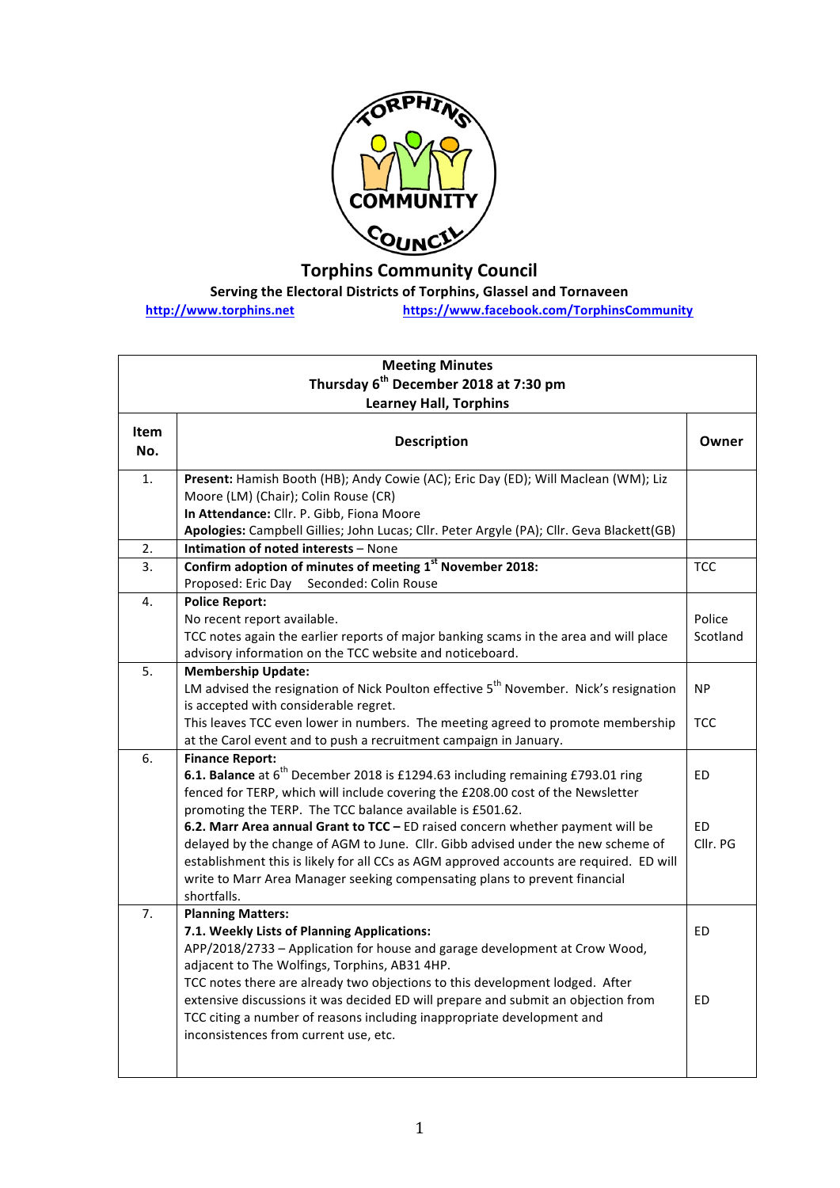

## **Torphins Community Council**

**Serving the Electoral Districts of Torphins, Glassel and Tornaveen** 

**http://www.torphins.net https://www.facebook.com/TorphinsCommunity**

| <b>Meeting Minutes</b>                            |                                                                                                                                                                                                                                                                                                                                                            |                       |  |  |
|---------------------------------------------------|------------------------------------------------------------------------------------------------------------------------------------------------------------------------------------------------------------------------------------------------------------------------------------------------------------------------------------------------------------|-----------------------|--|--|
| Thursday 6 <sup>th</sup> December 2018 at 7:30 pm |                                                                                                                                                                                                                                                                                                                                                            |                       |  |  |
| <b>Learney Hall, Torphins</b>                     |                                                                                                                                                                                                                                                                                                                                                            |                       |  |  |
| <b>Item</b><br>No.                                | <b>Description</b>                                                                                                                                                                                                                                                                                                                                         | Owner                 |  |  |
| $\overline{1}$ .                                  | Present: Hamish Booth (HB); Andy Cowie (AC); Eric Day (ED); Will Maclean (WM); Liz<br>Moore (LM) (Chair); Colin Rouse (CR)<br>In Attendance: Cllr. P. Gibb, Fiona Moore<br>Apologies: Campbell Gillies; John Lucas; Cllr. Peter Argyle (PA); Cllr. Geva Blackett(GB)                                                                                       |                       |  |  |
| 2.                                                | Intimation of noted interests - None                                                                                                                                                                                                                                                                                                                       |                       |  |  |
| 3.                                                | Confirm adoption of minutes of meeting 1 <sup>st</sup> November 2018:<br>Seconded: Colin Rouse<br>Proposed: Eric Day                                                                                                                                                                                                                                       | <b>TCC</b>            |  |  |
| 4.                                                | <b>Police Report:</b><br>No recent report available.<br>TCC notes again the earlier reports of major banking scams in the area and will place<br>advisory information on the TCC website and noticeboard.                                                                                                                                                  | Police<br>Scotland    |  |  |
| 5.                                                | <b>Membership Update:</b><br>LM advised the resignation of Nick Poulton effective 5 <sup>th</sup> November. Nick's resignation<br>is accepted with considerable regret.                                                                                                                                                                                    | <b>NP</b>             |  |  |
|                                                   | This leaves TCC even lower in numbers. The meeting agreed to promote membership<br>at the Carol event and to push a recruitment campaign in January.                                                                                                                                                                                                       | <b>TCC</b>            |  |  |
| 6.                                                | <b>Finance Report:</b><br>6.1. Balance at 6 <sup>th</sup> December 2018 is £1294.63 including remaining £793.01 ring<br>fenced for TERP, which will include covering the £208.00 cost of the Newsletter<br>promoting the TERP. The TCC balance available is £501.62.                                                                                       | <b>ED</b>             |  |  |
|                                                   | 6.2. Marr Area annual Grant to TCC - ED raised concern whether payment will be<br>delayed by the change of AGM to June. Cllr. Gibb advised under the new scheme of<br>establishment this is likely for all CCs as AGM approved accounts are required. ED will<br>write to Marr Area Manager seeking compensating plans to prevent financial<br>shortfalls. | <b>ED</b><br>Cllr. PG |  |  |
| 7.                                                | <b>Planning Matters:</b><br>7.1. Weekly Lists of Planning Applications:<br>APP/2018/2733 - Application for house and garage development at Crow Wood,<br>adjacent to The Wolfings, Torphins, AB31 4HP.<br>TCC notes there are already two objections to this development lodged. After                                                                     | ED                    |  |  |
|                                                   | extensive discussions it was decided ED will prepare and submit an objection from<br>TCC citing a number of reasons including inappropriate development and<br>inconsistences from current use, etc.                                                                                                                                                       | <b>ED</b>             |  |  |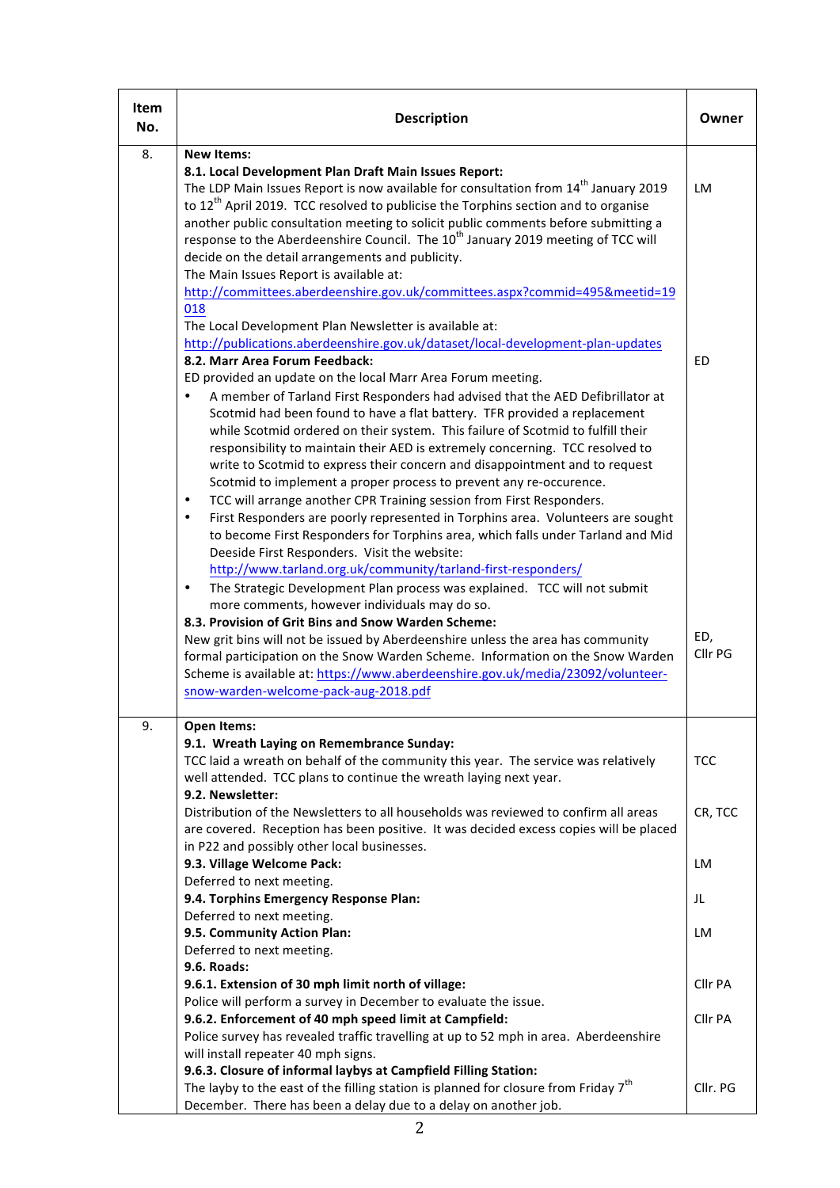| Item<br>No. | <b>Description</b>                                                                                                                                                                                                                                                                                                                                                                                                                                                                                                                                                                                                                                                                                                                                                                                                                                                                                                                                                                                                                                                                                                                                                                                                                                                                                                                                                                                                                                                                                                                                                                                                             | Owner                       |
|-------------|--------------------------------------------------------------------------------------------------------------------------------------------------------------------------------------------------------------------------------------------------------------------------------------------------------------------------------------------------------------------------------------------------------------------------------------------------------------------------------------------------------------------------------------------------------------------------------------------------------------------------------------------------------------------------------------------------------------------------------------------------------------------------------------------------------------------------------------------------------------------------------------------------------------------------------------------------------------------------------------------------------------------------------------------------------------------------------------------------------------------------------------------------------------------------------------------------------------------------------------------------------------------------------------------------------------------------------------------------------------------------------------------------------------------------------------------------------------------------------------------------------------------------------------------------------------------------------------------------------------------------------|-----------------------------|
| 8.          | <b>New Items:</b><br>8.1. Local Development Plan Draft Main Issues Report:<br>The LDP Main Issues Report is now available for consultation from 14 <sup>th</sup> January 2019<br>to 12 <sup>th</sup> April 2019. TCC resolved to publicise the Torphins section and to organise<br>another public consultation meeting to solicit public comments before submitting a<br>response to the Aberdeenshire Council. The 10 <sup>th</sup> January 2019 meeting of TCC will<br>decide on the detail arrangements and publicity.<br>The Main Issues Report is available at:<br>http://committees.aberdeenshire.gov.uk/committees.aspx?commid=495&meetid=19<br>018                                                                                                                                                                                                                                                                                                                                                                                                                                                                                                                                                                                                                                                                                                                                                                                                                                                                                                                                                                     | LM                          |
|             | The Local Development Plan Newsletter is available at:<br>http://publications.aberdeenshire.gov.uk/dataset/local-development-plan-updates<br>8.2. Marr Area Forum Feedback:<br>ED provided an update on the local Marr Area Forum meeting.<br>A member of Tarland First Responders had advised that the AED Defibrillator at<br>Scotmid had been found to have a flat battery. TFR provided a replacement<br>while Scotmid ordered on their system. This failure of Scotmid to fulfill their<br>responsibility to maintain their AED is extremely concerning. TCC resolved to<br>write to Scotmid to express their concern and disappointment and to request<br>Scotmid to implement a proper process to prevent any re-occurence.<br>TCC will arrange another CPR Training session from First Responders.<br>$\bullet$<br>First Responders are poorly represented in Torphins area. Volunteers are sought<br>$\bullet$<br>to become First Responders for Torphins area, which falls under Tarland and Mid<br>Deeside First Responders. Visit the website:<br>http://www.tarland.org.uk/community/tarland-first-responders/<br>The Strategic Development Plan process was explained. TCC will not submit<br>$\bullet$<br>more comments, however individuals may do so.<br>8.3. Provision of Grit Bins and Snow Warden Scheme:<br>New grit bins will not be issued by Aberdeenshire unless the area has community<br>formal participation on the Snow Warden Scheme. Information on the Snow Warden<br>Scheme is available at: https://www.aberdeenshire.gov.uk/media/23092/volunteer-<br>snow-warden-welcome-pack-aug-2018.pdf | <b>ED</b><br>ED,<br>Cllr PG |
| 9.          | Open Items:<br>9.1. Wreath Laying on Remembrance Sunday:<br>TCC laid a wreath on behalf of the community this year. The service was relatively<br>well attended. TCC plans to continue the wreath laying next year.                                                                                                                                                                                                                                                                                                                                                                                                                                                                                                                                                                                                                                                                                                                                                                                                                                                                                                                                                                                                                                                                                                                                                                                                                                                                                                                                                                                                            | <b>TCC</b>                  |
|             | 9.2. Newsletter:<br>Distribution of the Newsletters to all households was reviewed to confirm all areas<br>are covered. Reception has been positive. It was decided excess copies will be placed<br>in P22 and possibly other local businesses.<br>9.3. Village Welcome Pack:                                                                                                                                                                                                                                                                                                                                                                                                                                                                                                                                                                                                                                                                                                                                                                                                                                                                                                                                                                                                                                                                                                                                                                                                                                                                                                                                                  | CR, TCC<br>LM               |
|             | Deferred to next meeting.<br>9.4. Torphins Emergency Response Plan:                                                                                                                                                                                                                                                                                                                                                                                                                                                                                                                                                                                                                                                                                                                                                                                                                                                                                                                                                                                                                                                                                                                                                                                                                                                                                                                                                                                                                                                                                                                                                            | JL                          |
|             | Deferred to next meeting.<br>9.5. Community Action Plan:<br>Deferred to next meeting.                                                                                                                                                                                                                                                                                                                                                                                                                                                                                                                                                                                                                                                                                                                                                                                                                                                                                                                                                                                                                                                                                                                                                                                                                                                                                                                                                                                                                                                                                                                                          | LM                          |
|             | 9.6. Roads:<br>9.6.1. Extension of 30 mph limit north of village:                                                                                                                                                                                                                                                                                                                                                                                                                                                                                                                                                                                                                                                                                                                                                                                                                                                                                                                                                                                                                                                                                                                                                                                                                                                                                                                                                                                                                                                                                                                                                              | Cllr PA                     |
|             | Police will perform a survey in December to evaluate the issue.<br>9.6.2. Enforcement of 40 mph speed limit at Campfield:<br>Police survey has revealed traffic travelling at up to 52 mph in area. Aberdeenshire<br>will install repeater 40 mph signs.                                                                                                                                                                                                                                                                                                                                                                                                                                                                                                                                                                                                                                                                                                                                                                                                                                                                                                                                                                                                                                                                                                                                                                                                                                                                                                                                                                       | Cllr PA                     |
|             | 9.6.3. Closure of informal laybys at Campfield Filling Station:<br>The layby to the east of the filling station is planned for closure from Friday $7th$<br>December. There has been a delay due to a delay on another job.                                                                                                                                                                                                                                                                                                                                                                                                                                                                                                                                                                                                                                                                                                                                                                                                                                                                                                                                                                                                                                                                                                                                                                                                                                                                                                                                                                                                    | Cllr. PG                    |